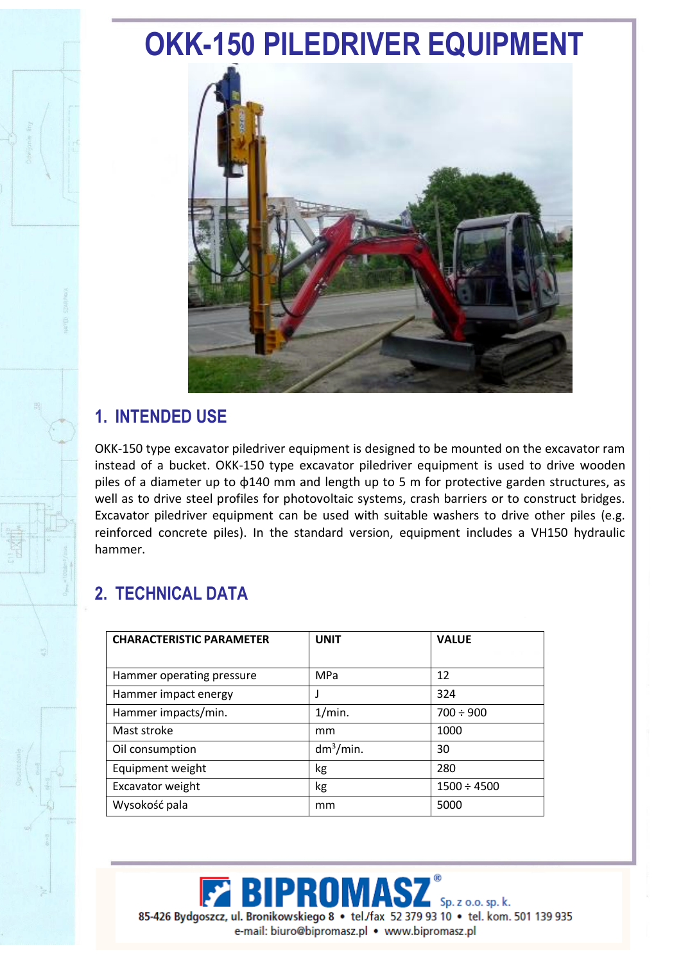## **OKK-150 PILEDRIVER EQUIPMENT**



## **1. INTENDED USE**

OKK-150 type excavator piledriver equipment is designed to be mounted on the excavator ram instead of a bucket. OKK-150 type excavator piledriver equipment is used to drive wooden piles of a diameter up to φ140 mm and length up to 5 m for protective garden structures, as well as to drive steel profiles for photovoltaic systems, crash barriers or to construct bridges. Excavator piledriver equipment can be used with suitable washers to drive other piles (e.g. reinforced concrete piles). In the standard version, equipment includes a VH150 hydraulic hammer.

## **2. TECHNICAL DATA**

| <b>CHARACTERISTIC PARAMETER</b> | <b>UNIT</b>  | <b>VALUE</b>     |
|---------------------------------|--------------|------------------|
|                                 |              |                  |
| Hammer operating pressure       | MPa          | 12               |
| Hammer impact energy            |              | 324              |
| Hammer impacts/min.             | 1/min.       | $700 \div 900$   |
| Mast stroke                     | mm           | 1000             |
| Oil consumption                 | $dm^3/m$ in. | 30               |
| Equipment weight                | kg           | 280              |
| Excavator weight                | kg           | $1500 \div 4500$ |
| Wysokość pala                   | mm           | 5000             |

**IPRO** Sp. z o.o. sp. k. 85-426 Bydgoszcz, ul. Bronikowskiego 8 · tel/fax 52 379 93 10 · tel. kom. 501 139 935 e-mail: biuro@bipromasz.pl • www.bipromasz.pl